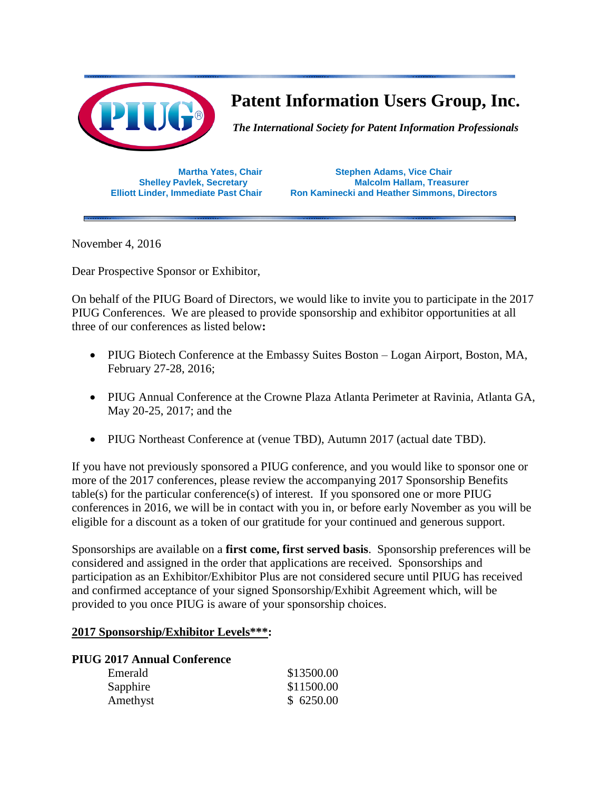

# **Patent Information Users Group, Inc.**

*The International Society for Patent Information Professionals*

**Martha Yates, Chair Stephen Adams, Vice Chair Shelley Pavlek, Secretary <b>Malcolm Hallam, Treasurer Elliott Linder, Immediate Past Chair Ron Kaminecki and Heather Simmons, Directors**

November 4, 2016

Dear Prospective Sponsor or Exhibitor,

On behalf of the PIUG Board of Directors, we would like to invite you to participate in the 2017 PIUG Conferences. We are pleased to provide sponsorship and exhibitor opportunities at all three of our conferences as listed below**:**

- PIUG Biotech Conference at the Embassy Suites Boston Logan Airport, Boston, MA, February 27-28, 2016;
- PIUG Annual Conference at the Crowne Plaza Atlanta Perimeter at Ravinia, Atlanta GA, May 20-25, 2017; and the
- PIUG Northeast Conference at (venue TBD), Autumn 2017 (actual date TBD).

If you have not previously sponsored a PIUG conference, and you would like to sponsor one or more of the 2017 conferences, please review the accompanying 2017 Sponsorship Benefits table(s) for the particular conference(s) of interest. If you sponsored one or more PIUG conferences in 2016, we will be in contact with you in, or before early November as you will be eligible for a discount as a token of our gratitude for your continued and generous support.

Sponsorships are available on a **first come, first served basis**. Sponsorship preferences will be considered and assigned in the order that applications are received. Sponsorships and participation as an Exhibitor/Exhibitor Plus are not considered secure until PIUG has received and confirmed acceptance of your signed Sponsorship/Exhibit Agreement which, will be provided to you once PIUG is aware of your sponsorship choices.

#### **2017 Sponsorship/Exhibitor Levels\*\*\*:**

#### **PIUG 2017 Annual Conference**

| Emerald  | \$13500.00 |
|----------|------------|
| Sapphire | \$11500.00 |
| Amethyst | \$6250.00  |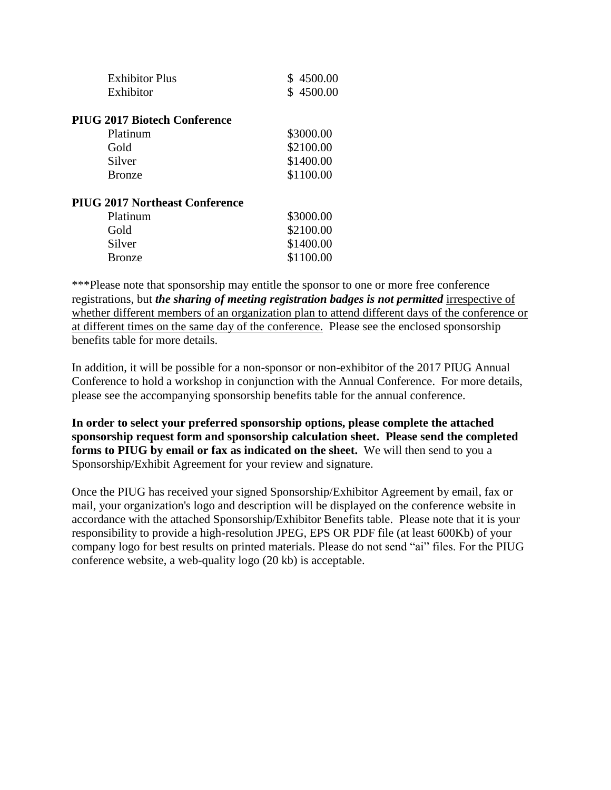| <b>Exhibitor Plus</b>                 | \$4500.00 |
|---------------------------------------|-----------|
| Exhibitor                             | \$4500.00 |
| <b>PIUG 2017 Biotech Conference</b>   |           |
| Platinum                              | \$3000.00 |
| Gold                                  | \$2100.00 |
| Silver                                | \$1400.00 |
| <b>Bronze</b>                         | \$1100.00 |
| <b>PIUG 2017 Northeast Conference</b> |           |
| Platinum                              | \$3000.00 |
| Gold                                  | \$2100.00 |
| Silver                                | \$1400.00 |
| <b>Bronze</b>                         | \$1100.00 |
|                                       |           |

\*\*\*Please note that sponsorship may entitle the sponsor to one or more free conference registrations, but *the sharing of meeting registration badges is not permitted* irrespective of whether different members of an organization plan to attend different days of the conference or at different times on the same day of the conference. Please see the enclosed sponsorship benefits table for more details.

In addition, it will be possible for a non-sponsor or non-exhibitor of the 2017 PIUG Annual Conference to hold a workshop in conjunction with the Annual Conference. For more details, please see the accompanying sponsorship benefits table for the annual conference.

**In order to select your preferred sponsorship options, please complete the attached sponsorship request form and sponsorship calculation sheet. Please send the completed forms to PIUG by email or fax as indicated on the sheet.** We will then send to you a Sponsorship/Exhibit Agreement for your review and signature.

Once the PIUG has received your signed Sponsorship/Exhibitor Agreement by email, fax or mail, your organization's logo and description will be displayed on the conference website in accordance with the attached Sponsorship/Exhibitor Benefits table. Please note that it is your responsibility to provide a high-resolution JPEG, EPS OR PDF file (at least 600Kb) of your company logo for best results on printed materials. Please do not send "ai" files. For the PIUG conference website, a web-quality logo (20 kb) is acceptable.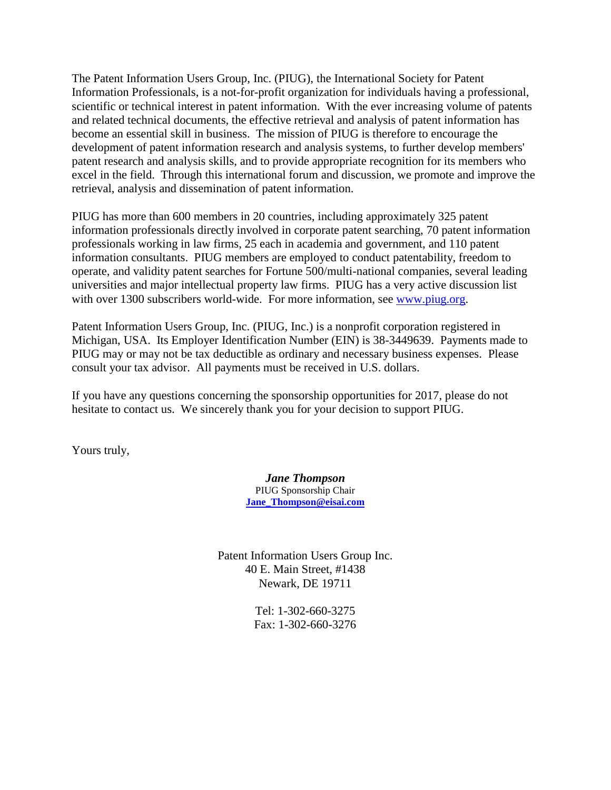The Patent Information Users Group, Inc. (PIUG), the International Society for Patent Information Professionals, is a not-for-profit organization for individuals having a professional, scientific or technical interest in patent information. With the ever increasing volume of patents and related technical documents, the effective retrieval and analysis of patent information has become an essential skill in business. The mission of PIUG is therefore to encourage the development of patent information research and analysis systems, to further develop members' patent research and analysis skills, and to provide appropriate recognition for its members who excel in the field. Through this international forum and discussion, we promote and improve the retrieval, analysis and dissemination of patent information.

PIUG has more than 600 members in 20 countries, including approximately 325 patent information professionals directly involved in corporate patent searching, 70 patent information professionals working in law firms, 25 each in academia and government, and 110 patent information consultants. PIUG members are employed to conduct patentability, freedom to operate, and validity patent searches for Fortune 500/multi-national companies, several leading universities and major intellectual property law firms. PIUG has a very active discussion list with over 1300 subscribers world-wide. For more information, see [www.piug.org.](http://www.piug.org/)

Patent Information Users Group, Inc. (PIUG, Inc.) is a nonprofit corporation registered in Michigan, USA. Its Employer Identification Number (EIN) is 38-3449639. Payments made to PIUG may or may not be tax deductible as ordinary and necessary business expenses. Please consult your tax advisor. All payments must be received in U.S. dollars.

If you have any questions concerning the sponsorship opportunities for 2017, please do not hesitate to contact us. We sincerely thank you for your decision to support PIUG.

Yours truly,

*Jane Thompson* PIUG Sponsorship Chair **[Jane\\_Thompson@eisai.com](mailto:Jane_Thompson@eisai.com)**

Patent Information Users Group Inc. 40 E. Main Street, #1438 Newark, DE 19711

> Tel: 1-302-660-3275 Fax: 1-302-660-3276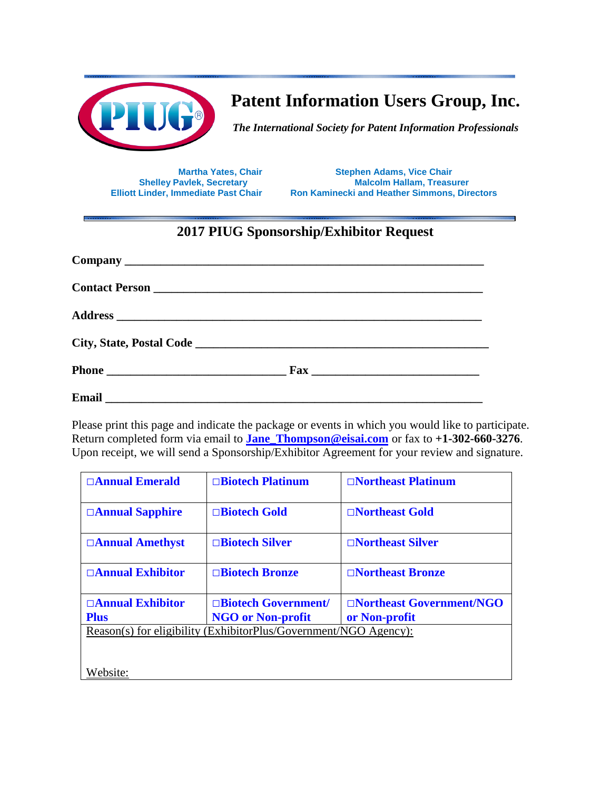

**Patent Information Users Group, Inc.**

*The International Society for Patent Information Professionals*

**Martha Yates, Chair Stephen Adams, Vice Chair**<br>**Shelley Pavlek, Secretary <b>Malcolm Hallam**, Treasu **Shelley Pavlek, Secretary <b>Malcolm Hallam, Treasurer**<br>**Elliott Linder, Immediate Past Chair Mannifecki and Heather Simmons, Direction Ron Kaminecki and Heather Simmons, Directors** 

## **2017 PIUG Sponsorship/Exhibitor Request**

| Contact Person New York Contact Person |
|----------------------------------------|
|                                        |
|                                        |
|                                        |
|                                        |

Please print this page and indicate the package or events in which you would like to participate. Return completed form via email to **[Jane\\_Thompson@eisai.com](mailto:Jane_Thompson@eisai.com)** or fax to **+1-302-660-3276**. Upon receipt, we will send a Sponsorship/Exhibitor Agreement for your review and signature.

| $\Box$ Annual Emerald                                            | $\Box$ Biotech Platinum  | $\Box$ Northeast Platinum |  |  |
|------------------------------------------------------------------|--------------------------|---------------------------|--|--|
|                                                                  |                          |                           |  |  |
| □ <b>Annual Sapphire</b>                                         | □Biotech Gold            | □Northeast Gold           |  |  |
|                                                                  |                          |                           |  |  |
| □Annual Amethyst                                                 | □Biotech Silver          | □Northeast Silver         |  |  |
|                                                                  |                          |                           |  |  |
| $\Box$ Annual Exhibitor                                          | <b>□Biotech Bronze</b>   | □Northeast Bronze         |  |  |
|                                                                  |                          |                           |  |  |
| $\Box$ Annual Exhibitor                                          | □Biotech Government/     | □Northeast Government/NGO |  |  |
| <b>Plus</b>                                                      | <b>NGO or Non-profit</b> | or Non-profit             |  |  |
| Reason(s) for eligibility (ExhibitorPlus/Government/NGO Agency): |                          |                           |  |  |
|                                                                  |                          |                           |  |  |
|                                                                  |                          |                           |  |  |
|                                                                  |                          |                           |  |  |
| Website:                                                         |                          |                           |  |  |